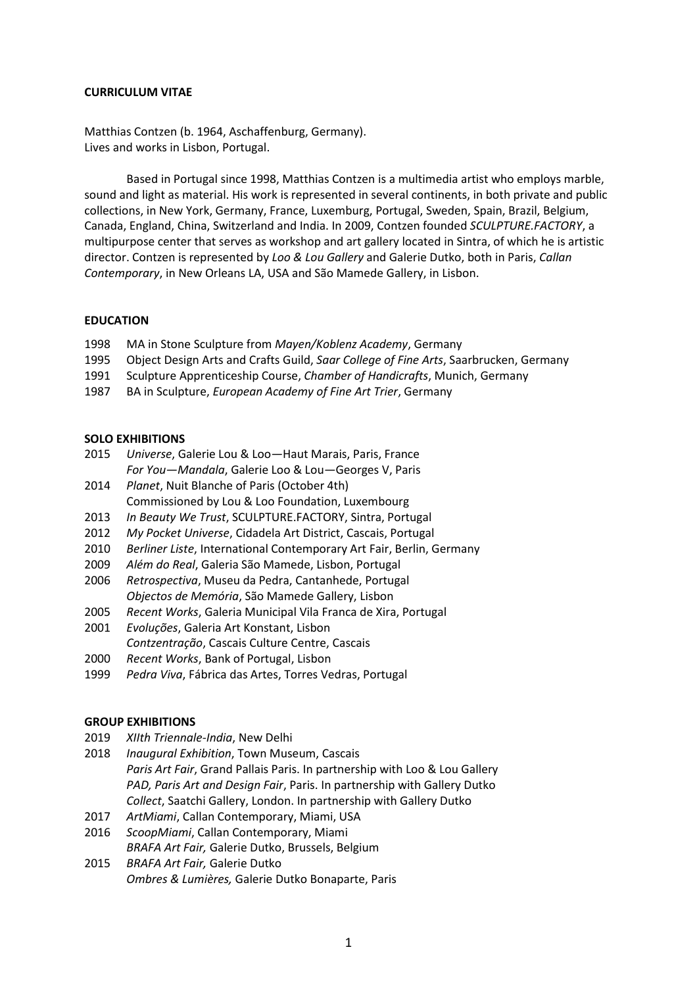## **CURRICULUM VITAE**

Matthias Contzen (b. 1964, Aschaffenburg, Germany). Lives and works in Lisbon, Portugal.

Based in Portugal since 1998, Matthias Contzen is a multimedia artist who employs marble, sound and light as material. His work is represented in several continents, in both private and public collections, in New York, Germany, France, Luxemburg, Portugal, Sweden, Spain, Brazil, Belgium, Canada, England, China, Switzerland and India. In 2009, Contzen founded *SCULPTURE.FACTORY*, a multipurpose center that serves as workshop and art gallery located in Sintra, of which he is artistic director. Contzen is represented by *Loo & Lou Gallery* and Galerie Dutko, both in Paris, *Callan Contemporary*, in New Orleans LA, USA and São Mamede Gallery, in Lisbon.

## **EDUCATION**

- 1998 MA in Stone Sculpture from *Mayen/Koblenz Academy*, Germany
- 1995 Object Design Arts and Crafts Guild, *Saar College of Fine Arts*, Saarbrucken, Germany
- 1991 Sculpture Apprenticeship Course, *Chamber of Handicrafts*, Munich, Germany
- 1987 BA in Sculpture, *European Academy of Fine Art Trier*, Germany

## **SOLO EXHIBITIONS**

- 2015 *Universe*, Galerie Lou & Loo*—*Haut Marais, Paris, France *For You—Mandala*, Galerie Loo & Lou*—*Georges V, Paris
- 2014 *Planet*, Nuit Blanche of Paris (October 4th) Commissioned by Lou & Loo Foundation, Luxembourg
- 2013 *In Beauty We Trust*, SCULPTURE.FACTORY, Sintra, Portugal
- 2012 *My Pocket Universe*, Cidadela Art District, Cascais, Portugal
- 2010 *Berliner Liste*, International Contemporary Art Fair, Berlin, Germany
- 2009 *Além do Real*, Galeria São Mamede, Lisbon, Portugal
- 2006 *Retrospectiva*, Museu da Pedra, Cantanhede, Portugal *Objectos de Memória*, São Mamede Gallery, Lisbon
- 2005 *Recent Works*, Galeria Municipal Vila Franca de Xira, Portugal
- 2001 *Evoluções*, Galeria Art Konstant, Lisbon *Contzentração*, Cascais Culture Centre, Cascais
- 2000 *Recent Works*, Bank of Portugal, Lisbon
- 1999 *Pedra Viva*, Fábrica das Artes, Torres Vedras, Portugal

#### **GROUP EXHIBITIONS**

- 2019 *XIIth Triennale-India*, New Delhi
- 2018 *Inaugural Exhibition*, Town Museum, Cascais *Paris Art Fair*, Grand Pallais Paris. In partnership with Loo & Lou Gallery *PAD, Paris Art and Design Fair*, Paris. In partnership with Gallery Dutko *Collect*, Saatchi Gallery, London. In partnership with Gallery Dutko
- 2017 *ArtMiami*, Callan Contemporary, Miami, USA
- 2016 *ScoopMiami*, Callan Contemporary, Miami *BRAFA Art Fair,* Galerie Dutko, Brussels, Belgium
- 2015 *BRAFA Art Fair,* Galerie Dutko *Ombres & Lumières,* Galerie Dutko Bonaparte, Paris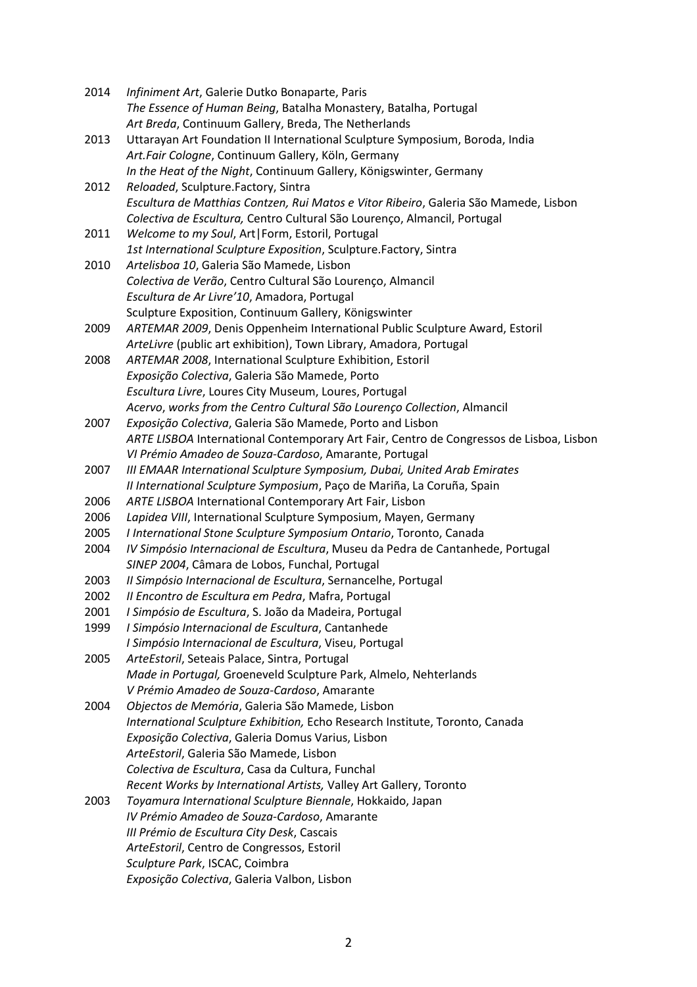| 2014 | Infiniment Art, Galerie Dutko Bonaparte, Paris                                          |
|------|-----------------------------------------------------------------------------------------|
|      | The Essence of Human Being, Batalha Monastery, Batalha, Portugal                        |
|      | Art Breda, Continuum Gallery, Breda, The Netherlands                                    |
| 2013 | Uttarayan Art Foundation II International Sculpture Symposium, Boroda, India            |
|      | Art.Fair Cologne, Continuum Gallery, Köln, Germany                                      |
|      | In the Heat of the Night, Continuum Gallery, Königswinter, Germany                      |
| 2012 | Reloaded, Sculpture.Factory, Sintra                                                     |
|      | Escultura de Matthias Contzen, Rui Matos e Vitor Ribeiro, Galeria São Mamede, Lisbon    |
|      | Colectiva de Escultura, Centro Cultural São Lourenço, Almancil, Portugal                |
| 2011 | Welcome to my Soul, Art   Form, Estoril, Portugal                                       |
|      | 1st International Sculpture Exposition, Sculpture.Factory, Sintra                       |
| 2010 | Artelisboa 10, Galeria São Mamede, Lisbon                                               |
|      | Colectiva de Verão, Centro Cultural São Lourenço, Almancil                              |
|      | Escultura de Ar Livre'10, Amadora, Portugal                                             |
|      | Sculpture Exposition, Continuum Gallery, Königswinter                                   |
| 2009 | ARTEMAR 2009, Denis Oppenheim International Public Sculpture Award, Estoril             |
|      | ArteLivre (public art exhibition), Town Library, Amadora, Portugal                      |
| 2008 | ARTEMAR 2008, International Sculpture Exhibition, Estoril                               |
|      | Exposição Colectiva, Galeria São Mamede, Porto                                          |
|      | Escultura Livre, Loures City Museum, Loures, Portugal                                   |
|      | Acervo, works from the Centro Cultural São Lourenço Collection, Almancil                |
| 2007 | Exposição Colectiva, Galeria São Mamede, Porto and Lisbon                               |
|      | ARTE LISBOA International Contemporary Art Fair, Centro de Congressos de Lisboa, Lisbon |
|      | VI Prémio Amadeo de Souza-Cardoso, Amarante, Portugal                                   |
| 2007 | III EMAAR International Sculpture Symposium, Dubai, United Arab Emirates                |
|      | Il International Sculpture Symposium, Paço de Mariña, La Coruña, Spain                  |
| 2006 | ARTE LISBOA International Contemporary Art Fair, Lisbon                                 |
| 2006 | Lapidea VIII, International Sculpture Symposium, Mayen, Germany                         |
| 2005 | I International Stone Sculpture Symposium Ontario, Toronto, Canada                      |
| 2004 | IV Simpósio Internacional de Escultura, Museu da Pedra de Cantanhede, Portugal          |
|      | SINEP 2004, Câmara de Lobos, Funchal, Portugal                                          |
| 2003 | Il Simpósio Internacional de Escultura, Sernancelhe, Portugal                           |
| 2002 | Il Encontro de Escultura em Pedra, Mafra, Portugal                                      |
| 2001 | I Simpósio de Escultura, S. João da Madeira, Portugal                                   |
| 1999 | I Simpósio Internacional de Escultura, Cantanhede                                       |
|      | I Simpósio Internacional de Escultura, Viseu, Portugal                                  |
| 2005 | ArteEstoril, Seteais Palace, Sintra, Portugal                                           |
|      | Made in Portugal, Groeneveld Sculpture Park, Almelo, Nehterlands                        |
|      | V Prémio Amadeo de Souza-Cardoso, Amarante                                              |
| 2004 | Objectos de Memória, Galeria São Mamede, Lisbon                                         |
|      | International Sculpture Exhibition, Echo Research Institute, Toronto, Canada            |
|      | Exposição Colectiva, Galeria Domus Varius, Lisbon                                       |
|      | ArteEstoril, Galeria São Mamede, Lisbon                                                 |
|      | Colectiva de Escultura, Casa da Cultura, Funchal                                        |
|      | Recent Works by International Artists, Valley Art Gallery, Toronto                      |
| 2003 | Toyamura International Sculpture Biennale, Hokkaido, Japan                              |
|      | IV Prémio Amadeo de Souza-Cardoso, Amarante                                             |
|      | III Prémio de Escultura City Desk, Cascais                                              |
|      | ArteEstoril, Centro de Congressos, Estoril                                              |
|      | Sculpture Park, ISCAC, Coimbra                                                          |
|      | Exposição Colectiva, Galeria Valbon, Lisbon                                             |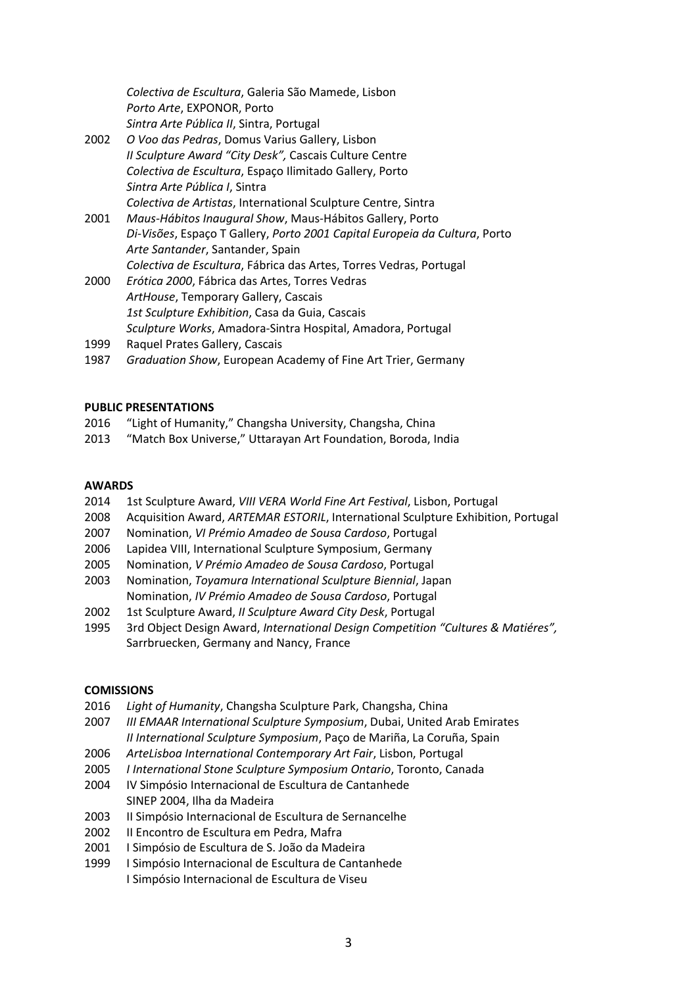*Colectiva de Escultura*, Galeria São Mamede, Lisbon *Porto Arte*, EXPONOR, Porto

- *Sintra Arte Pública II*, Sintra, Portugal
- 2002 *O Voo das Pedras*, Domus Varius Gallery, Lisbon *II Sculpture Award "City Desk",* Cascais Culture Centre *Colectiva de Escultura*, Espaço Ilimitado Gallery, Porto *Sintra Arte Pública I*, Sintra *Colectiva de Artistas*, International Sculpture Centre, Sintra
- 2001 *Maus-Hábitos Inaugural Show*, Maus-Hábitos Gallery, Porto *Di-Visões*, Espaço T Gallery, *Porto 2001 Capital Europeia da Cultura*, Porto *Arte Santander*, Santander, Spain *Colectiva de Escultura*, Fábrica das Artes, Torres Vedras, Portugal
- 2000 *Erótica 2000*, Fábrica das Artes, Torres Vedras *ArtHouse*, Temporary Gallery, Cascais *1st Sculpture Exhibition*, Casa da Guia, Cascais *Sculpture Works*, Amadora-Sintra Hospital, Amadora, Portugal
- 1999 Raquel Prates Gallery, Cascais
- 1987 *Graduation Show*, European Academy of Fine Art Trier, Germany

# **PUBLIC PRESENTATIONS**

- 2016 "Light of Humanity," Changsha University, Changsha, China
- 2013 "Match Box Universe," Uttarayan Art Foundation, Boroda, India

# **AWARDS**

- 2014 1st Sculpture Award, *VIII VERA World Fine Art Festival*, Lisbon, Portugal
- 2008 Acquisition Award, *ARTEMAR ESTORIL*, International Sculpture Exhibition, Portugal
- 2007 Nomination, *VI Prémio Amadeo de Sousa Cardoso*, Portugal
- 2006 Lapidea VIII, International Sculpture Symposium, Germany
- 2005 Nomination, *V Prémio Amadeo de Sousa Cardoso*, Portugal
- 2003 Nomination, *Toyamura International Sculpture Biennial*, Japan Nomination, *IV Prémio Amadeo de Sousa Cardoso*, Portugal
- 2002 1st Sculpture Award, *II Sculpture Award City Desk*, Portugal
- 1995 3rd Object Design Award, *International Design Competition "Cultures & Matiéres",* Sarrbruecken, Germany and Nancy, France

## **COMISSIONS**

- 2016 *Light of Humanity*, Changsha Sculpture Park, Changsha, China
- 2007 *III EMAAR International Sculpture Symposium*, Dubai, United Arab Emirates *II International Sculpture Symposium*, Paço de Mariña, La Coruña, Spain
- 2006 *ArteLisboa International Contemporary Art Fair*, Lisbon, Portugal
- 2005 *I International Stone Sculpture Symposium Ontario*, Toronto, Canada
- 2004 IV Simpósio Internacional de Escultura de Cantanhede SINEP 2004, Ilha da Madeira
- 2003 Il Simpósio Internacional de Escultura de Sernancelhe
- 2002 II Encontro de Escultura em Pedra, Mafra
- 2001 I Simpósio de Escultura de S. João da Madeira
- 1999 I Simpósio Internacional de Escultura de Cantanhede I Simpósio Internacional de Escultura de Viseu